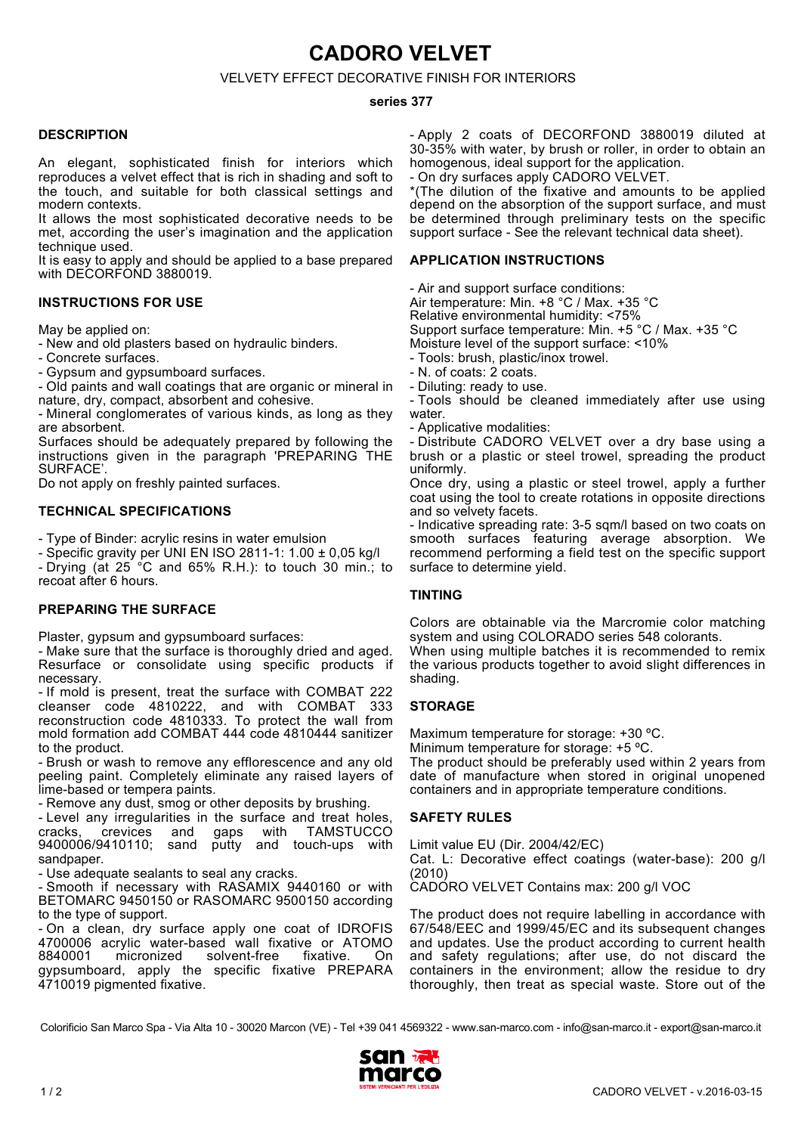**CADORO VELVET**

# VELVETY EFFECT DECORATIVE FINISH FOR INTERIORS

#### **series 377**

#### **DESCRIPTION**

An elegant, sophisticated finish for interiors which reproduces a velvet effect that is rich in shading and soft to the touch, and suitable for both classical settings and modern contexts.

It allows the most sophisticated decorative needs to be met, according the user's imagination and the application technique used.

It is easy to apply and should be applied to a base prepared with DECORFOND 3880019.

#### **INSTRUCTIONS FOR USE**

May be applied on:

- New and old plasters based on hydraulic binders.

- Concrete surfaces.

- Gypsum and gypsumboard surfaces.

- Old paints and wall coatings that are organic or mineral in nature, dry, compact, absorbent and cohesive.

- Mineral conglomerates of various kinds, as long as they are absorbent.

Surfaces should be adequately prepared by following the instructions given in the paragraph 'PREPARING THE SURFACE'.

Do not apply on freshly painted surfaces.

## **TECHNICAL SPECIFICATIONS**

- Type of Binder: acrylic resins in water emulsion

- Specific gravity per UNI EN ISO 2811-1: 1.00 ± 0,05 kg/l - Drying (at 25 °C and 65% R.H.): to touch 30 min.; to recoat after 6 hours.

## **PREPARING THE SURFACE**

Plaster, gypsum and gypsumboard surfaces:

- Make sure that the surface is thoroughly dried and aged. Resurface or consolidate using specific products if necessary.

- If mold is present, treat the surface with COMBAT 222 cleanser code 4810222, and with COMBAT 333 reconstruction code 4810333. To protect the wall from mold formation add COMBAT 444 code 4810444 sanitizer to the product.

- Brush or wash to remove any efflorescence and any old peeling paint. Completely eliminate any raised layers of lime-based or tempera paints.

- Remove any dust, smog or other deposits by brushing.

- Level any irregularities in the surface and treat holes, cracks, crevices and gaps with TAMSTUCCO cracks, crevices and gaps with TAMSTUCCO 9400006/9410110; sand putty and touch-ups with sandpaper

- Use adequate sealants to seal any cracks.

- Smooth if necessary with RASAMIX 9440160 or with BETOMARC 9450150 or RASOMARC 9500150 according to the type of support.

- On a clean, dry surface apply one coat of IDROFIS 4700006 acrylic water-based wall fixative or ATOMO solvent-free gypsumboard, apply the specific fixative PREPARA 4710019 pigmented fixative.

- Apply 2 coats of DECORFOND 3880019 diluted at 30-35% with water, by brush or roller, in order to obtain an homogenous, ideal support for the application.

- On dry surfaces apply CADORO VELVET.

\*(The dilution of the fixative and amounts to be applied depend on the absorption of the support surface, and must be determined through preliminary tests on the specific support surface - See the relevant technical data sheet).

#### **APPLICATION INSTRUCTIONS**

- Air and support surface conditions: Air temperature: Min. +8 °C / Max. +35 °C Relative environmental humidity: <75% Support surface temperature: Min. +5 °C / Max. +35 °C Moisture level of the support surface: <10% - Tools: brush, plastic/inox trowel.

- N. of coats: 2 coats.

- Diluting: ready to use.

- Tools should be cleaned immediately after use using water.

- Applicative modalities:

- Distribute CADORO VELVET over a dry base using a brush or a plastic or steel trowel, spreading the product uniformly.

Once dry, using a plastic or steel trowel, apply a further coat using the tool to create rotations in opposite directions and so velvety facets.

- Indicative spreading rate: 3-5 sqm/l based on two coats on smooth surfaces featuring average absorption. We recommend performing a field test on the specific support surface to determine yield.

## **TINTING**

Colors are obtainable via the Marcromie color matching system and using COLORADO series 548 colorants.

When using multiple batches it is recommended to remix the various products together to avoid slight differences in shading.

## **STORAGE**

Maximum temperature for storage: +30 °C.

Minimum temperature for storage: +5 ºC.

The product should be preferably used within 2 years from date of manufacture when stored in original unopened containers and in appropriate temperature conditions.

## **SAFETY RULES**

Limit value EU (Dir. 2004/42/EC)

Cat. L: Decorative effect coatings (water-base): 200 g/l (2010)

CADORO VELVET Contains max: 200 g/l VOC

The product does not require labelling in accordance with 67/548/EEC and 1999/45/EC and its subsequent changes and updates. Use the product according to current health and safety regulations; after use, do not discard the containers in the environment; allow the residue to dry thoroughly, then treat as special waste. Store out of the

Colorificio San Marco Spa - Via Alta 10 - 30020 Marcon (VE) - Tel +39 041 4569322 - www.san-marco.com - info@san-marco.it - export@san-marco.it